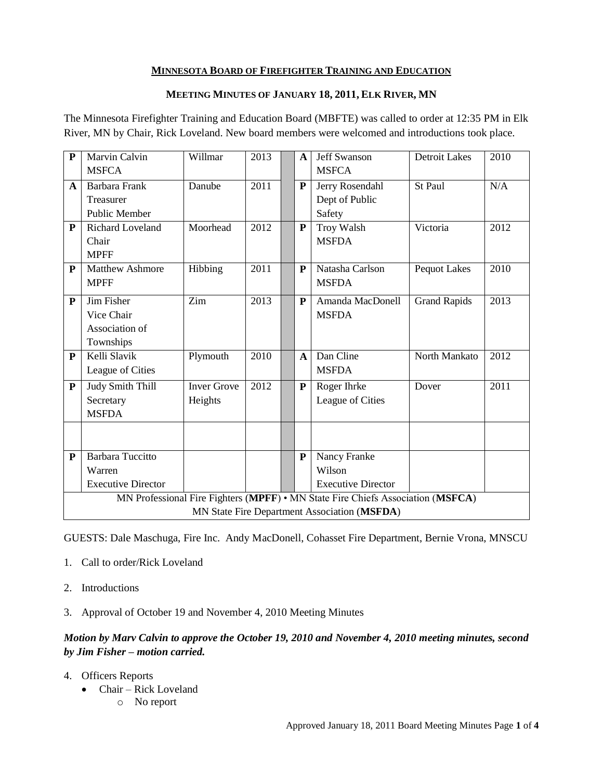## **MINNESOTA BOARD OF FIREFIGHTER TRAINING AND EDUCATION**

### **MEETING MINUTES OF JANUARY 18, 2011, ELK RIVER, MN**

The Minnesota Firefighter Training and Education Board (MBFTE) was called to order at 12:35 PM in Elk River, MN by Chair, Rick Loveland. New board members were welcomed and introductions took place.

| P                                                                               | <b>Marvin Calvin</b>      | Willmar            | 2013 |  | $\mathbf{A}$ | <b>Jeff Swanson</b>       | <b>Detroit Lakes</b> | 2010 |
|---------------------------------------------------------------------------------|---------------------------|--------------------|------|--|--------------|---------------------------|----------------------|------|
|                                                                                 | <b>MSFCA</b>              |                    |      |  |              | <b>MSFCA</b>              |                      |      |
| $\mathbf{A}$                                                                    | Barbara Frank             | Danube             | 2011 |  | P            | Jerry Rosendahl           | St Paul              | N/A  |
|                                                                                 | Treasurer                 |                    |      |  |              | Dept of Public            |                      |      |
|                                                                                 | <b>Public Member</b>      |                    |      |  |              | Safety                    |                      |      |
| P                                                                               | Richard Loveland          | Moorhead           | 2012 |  | $\mathbf{P}$ | <b>Troy Walsh</b>         | Victoria             | 2012 |
|                                                                                 | Chair                     |                    |      |  |              | <b>MSFDA</b>              |                      |      |
|                                                                                 | <b>MPFF</b>               |                    |      |  |              |                           |                      |      |
| ${\bf P}$                                                                       | <b>Matthew Ashmore</b>    | Hibbing            | 2011 |  | P            | Natasha Carlson           | <b>Pequot Lakes</b>  | 2010 |
|                                                                                 | <b>MPFF</b>               |                    |      |  |              | <b>MSFDA</b>              |                      |      |
| P                                                                               | Jim Fisher                | Zim                | 2013 |  | P            | Amanda MacDonell          | <b>Grand Rapids</b>  | 2013 |
|                                                                                 | Vice Chair                |                    |      |  |              | <b>MSFDA</b>              |                      |      |
|                                                                                 | Association of            |                    |      |  |              |                           |                      |      |
|                                                                                 | Townships                 |                    |      |  |              |                           |                      |      |
| P                                                                               | Kelli Slavik              | Plymouth           | 2010 |  | $\mathbf{A}$ | Dan Cline                 | North Mankato        | 2012 |
|                                                                                 | League of Cities          |                    |      |  |              | <b>MSFDA</b>              |                      |      |
| ${\bf P}$                                                                       | <b>Judy Smith Thill</b>   | <b>Inver Grove</b> | 2012 |  | P            | Roger Ihrke               | Dover                | 2011 |
|                                                                                 | Secretary                 | Heights            |      |  |              | League of Cities          |                      |      |
|                                                                                 | <b>MSFDA</b>              |                    |      |  |              |                           |                      |      |
|                                                                                 |                           |                    |      |  |              |                           |                      |      |
|                                                                                 |                           |                    |      |  |              |                           |                      |      |
| ${\bf P}$                                                                       | <b>Barbara Tuccitto</b>   |                    |      |  | $\mathbf{P}$ | Nancy Franke              |                      |      |
|                                                                                 | Warren                    |                    |      |  |              | Wilson                    |                      |      |
|                                                                                 | <b>Executive Director</b> |                    |      |  |              | <b>Executive Director</b> |                      |      |
| MN Professional Fire Fighters (MPFF) • MN State Fire Chiefs Association (MSFCA) |                           |                    |      |  |              |                           |                      |      |
| MN State Fire Department Association (MSFDA)                                    |                           |                    |      |  |              |                           |                      |      |

GUESTS: Dale Maschuga, Fire Inc. Andy MacDonell, Cohasset Fire Department, Bernie Vrona, MNSCU

- 1. Call to order/Rick Loveland
- 2. Introductions
- 3. Approval of October 19 and November 4, 2010 Meeting Minutes

# *Motion by Marv Calvin to approve the October 19, 2010 and November 4, 2010 meeting minutes, second by Jim Fisher – motion carried.*

- 4. Officers Reports
	- Chair Rick Loveland
		- o No report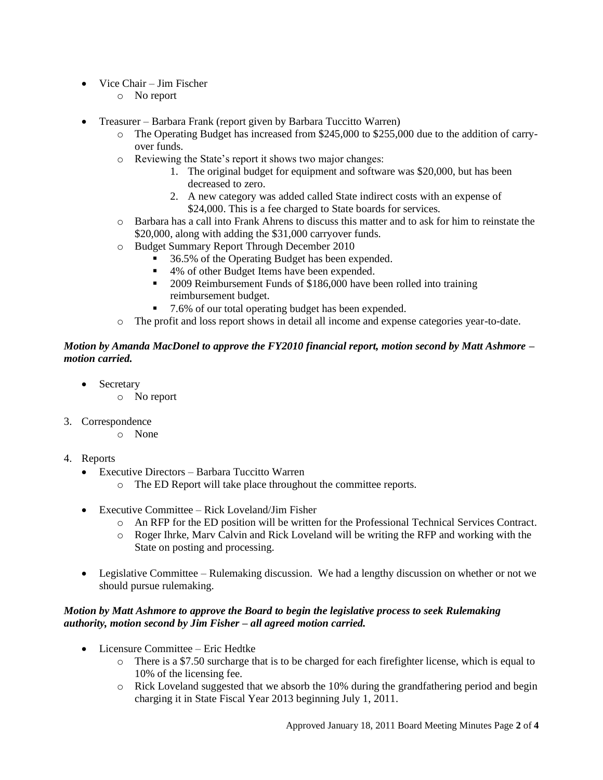- Vice Chair Jim Fischer
	- o No report
- Treasurer Barbara Frank (report given by Barbara Tuccitto Warren)
	- $\circ$  The Operating Budget has increased from \$245,000 to \$255,000 due to the addition of carryover funds.
	- o Reviewing the State's report it shows two major changes:
		- 1. The original budget for equipment and software was \$20,000, but has been decreased to zero.
		- 2. A new category was added called State indirect costs with an expense of \$24,000. This is a fee charged to State boards for services.
	- o Barbara has a call into Frank Ahrens to discuss this matter and to ask for him to reinstate the \$20,000, along with adding the \$31,000 carryover funds.
	- o Budget Summary Report Through December 2010
		- 36.5% of the Operating Budget has been expended.
		- 4% of other Budget Items have been expended.
		- **2009 Reimbursement Funds of \$186,000 have been rolled into training** reimbursement budget.
		- 7.6% of our total operating budget has been expended.
	- o The profit and loss report shows in detail all income and expense categories year-to-date.

### *Motion by Amanda MacDonel to approve the FY2010 financial report, motion second by Matt Ashmore – motion carried.*

- Secretary
	- o No report
- 3. Correspondence
	- o None
- 4. Reports
	- Executive Directors Barbara Tuccitto Warren
		- o The ED Report will take place throughout the committee reports.
	- Executive Committee Rick Loveland/Jim Fisher
		- o An RFP for the ED position will be written for the Professional Technical Services Contract.
		- o Roger Ihrke, Marv Calvin and Rick Loveland will be writing the RFP and working with the State on posting and processing.
	- Legislative Committee Rulemaking discussion. We had a lengthy discussion on whether or not we should pursue rulemaking.

### *Motion by Matt Ashmore to approve the Board to begin the legislative process to seek Rulemaking authority, motion second by Jim Fisher – all agreed motion carried.*

- Licensure Committee Eric Hedtke
	- o There is a \$7.50 surcharge that is to be charged for each firefighter license, which is equal to 10% of the licensing fee.
	- o Rick Loveland suggested that we absorb the 10% during the grandfathering period and begin charging it in State Fiscal Year 2013 beginning July 1, 2011.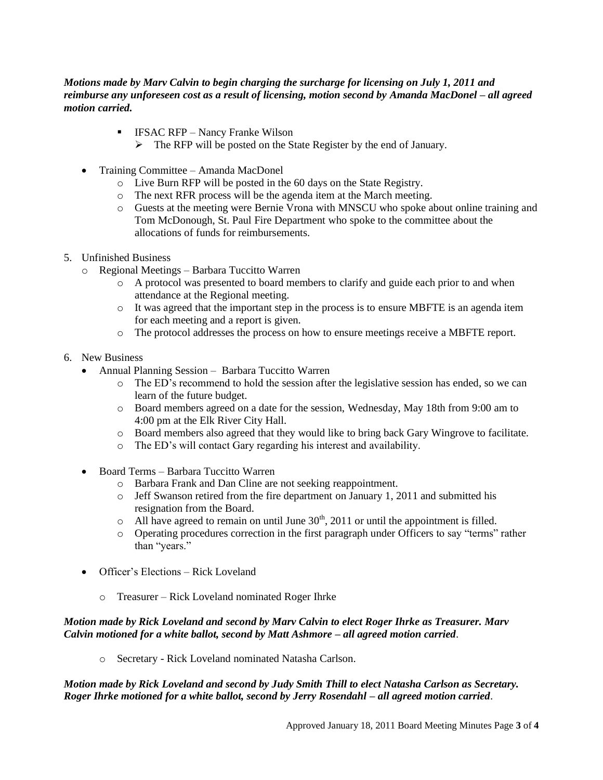### *Motions made by Marv Calvin to begin charging the surcharge for licensing on July 1, 2011 and reimburse any unforeseen cost as a result of licensing, motion second by Amanda MacDonel – all agreed motion carried.*

- **IFSAC RFP** Nancy Franke Wilson
	- $\triangleright$  The RFP will be posted on the State Register by the end of January.
- Training Committee Amanda MacDonel
	- o Live Burn RFP will be posted in the 60 days on the State Registry.
	- o The next RFR process will be the agenda item at the March meeting.
	- o Guests at the meeting were Bernie Vrona with MNSCU who spoke about online training and Tom McDonough, St. Paul Fire Department who spoke to the committee about the allocations of funds for reimbursements.
- 5. Unfinished Business
	- o Regional Meetings Barbara Tuccitto Warren
		- o A protocol was presented to board members to clarify and guide each prior to and when attendance at the Regional meeting.
		- $\circ$  It was agreed that the important step in the process is to ensure MBFTE is an agenda item for each meeting and a report is given.
		- o The protocol addresses the process on how to ensure meetings receive a MBFTE report.
- 6. New Business
	- Annual Planning Session Barbara Tuccitto Warren
		- o The ED's recommend to hold the session after the legislative session has ended, so we can learn of the future budget.
		- o Board members agreed on a date for the session, Wednesday, May 18th from 9:00 am to 4:00 pm at the Elk River City Hall.
		- o Board members also agreed that they would like to bring back Gary Wingrove to facilitate.
		- o The ED's will contact Gary regarding his interest and availability.
	- Board Terms Barbara Tuccitto Warren
		- o Barbara Frank and Dan Cline are not seeking reappointment.
		- o Jeff Swanson retired from the fire department on January 1, 2011 and submitted his resignation from the Board.
		- $\circ$  All have agreed to remain on until June 30<sup>th</sup>, 2011 or until the appointment is filled.
		- o Operating procedures correction in the first paragraph under Officers to say "terms" rather than "years."
	- Officer's Elections Rick Loveland
		- o Treasurer Rick Loveland nominated Roger Ihrke

#### *Motion made by Rick Loveland and second by Marv Calvin to elect Roger Ihrke as Treasurer. Marv Calvin motioned for a white ballot, second by Matt Ashmore – all agreed motion carried*.

o Secretary - Rick Loveland nominated Natasha Carlson.

### *Motion made by Rick Loveland and second by Judy Smith Thill to elect Natasha Carlson as Secretary. Roger Ihrke motioned for a white ballot, second by Jerry Rosendahl – all agreed motion carried*.